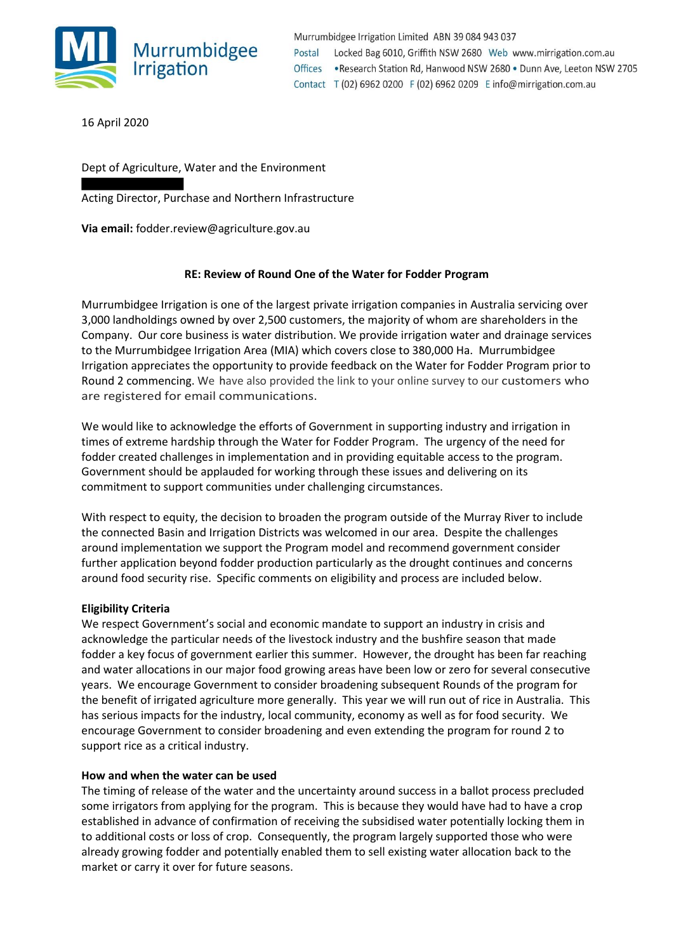

Murrumbidgee Irrigation Limited ABN 39 084 943 037 Postal Locked Bag 6010, Griffith NSW 2680 Web www.mirrigation.com.au .Research Station Rd, Hanwood NSW 2680 . Dunn Ave, Leeton NSW 2705 **Offices** Contact T (02) 6962 0200 F (02) 6962 0209 E info@mirrigation.com.au

16 April 2020

Dept of Agriculture, Water and the Environment

Acting Director, Purchase and Northern Infrastructure

**Via email:** fodder.review@agriculture.gov.au

# **RE: Review of Round One of the Water for Fodder Program**

Murrumbidgee Irrigation is one of the largest private irrigation companies in Australia servicing over 3,000 landholdings owned by over 2,500 customers, the majority of whom are shareholders in the Company. Our core business is water distribution. We provide irrigation water and drainage services to the Murrumbidgee Irrigation Area (MIA) which covers close to 380,000 Ha. Murrumbidgee Irrigation appreciates the opportunity to provide feedback on the Water for Fodder Program prior to Round 2 commencing. We have also provided the link to your online survey to our customers who are registered for email communications.

We would like to acknowledge the efforts of Government in supporting industry and irrigation in times of extreme hardship through the Water for Fodder Program. The urgency of the need for fodder created challenges in implementation and in providing equitable access to the program. Government should be applauded for working through these issues and delivering on its commitment to support communities under challenging circumstances.

With respect to equity, the decision to broaden the program outside of the Murray River to include the connected Basin and Irrigation Districts was welcomed in our area. Despite the challenges around implementation we support the Program model and recommend government consider further application beyond fodder production particularly as the drought continues and concerns around food security rise. Specific comments on eligibility and process are included below.

### **Eligibility Criteria**

We respect Government's social and economic mandate to support an industry in crisis and acknowledge the particular needs of the livestock industry and the bushfire season that made fodder a key focus of government earlier this summer. However, the drought has been far reaching and water allocations in our major food growing areas have been low or zero for several consecutive years. We encourage Government to consider broadening subsequent Rounds of the program for the benefit of irrigated agriculture more generally. This year we will run out of rice in Australia. This has serious impacts for the industry, local community, economy as well as for food security. We encourage Government to consider broadening and even extending the program for round 2 to support rice as a critical industry.

### **How and when the water can be used**

The timing of release of the water and the uncertainty around success in a ballot process precluded some irrigators from applying for the program. This is because they would have had to have a crop established in advance of confirmation of receiving the subsidised water potentially locking them in to additional costs or loss of crop. Consequently, the program largely supported those who were already growing fodder and potentially enabled them to sell existing water allocation back to the market or carry it over for future seasons.